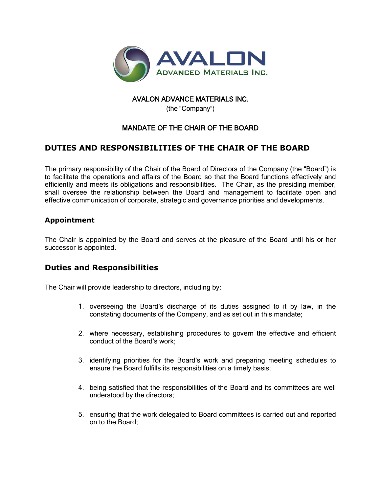

#### AVALON ADVANCE MATERIALS INC.

(the "Company")

## MANDATE OF THE CHAIR OF THE BOARD

# **DUTIES AND RESPONSIBILITIES OF THE CHAIR OF THE BOARD**

The primary responsibility of the Chair of the Board of Directors of the Company (the "Board") is to facilitate the operations and affairs of the Board so that the Board functions effectively and efficiently and meets its obligations and responsibilities. The Chair, as the presiding member, shall oversee the relationship between the Board and management to facilitate open and effective communication of corporate, strategic and governance priorities and developments.

### **Appointment**

The Chair is appointed by the Board and serves at the pleasure of the Board until his or her successor is appointed.

### **Duties and Responsibilities**

The Chair will provide leadership to directors, including by:

- 1. overseeing the Board's discharge of its duties assigned to it by law, in the constating documents of the Company, and as set out in this mandate;
- 2. where necessary, establishing procedures to govern the effective and efficient conduct of the Board's work;
- 3. identifying priorities for the Board's work and preparing meeting schedules to ensure the Board fulfills its responsibilities on a timely basis;
- 4. being satisfied that the responsibilities of the Board and its committees are well understood by the directors;
- 5. ensuring that the work delegated to Board committees is carried out and reported on to the Board;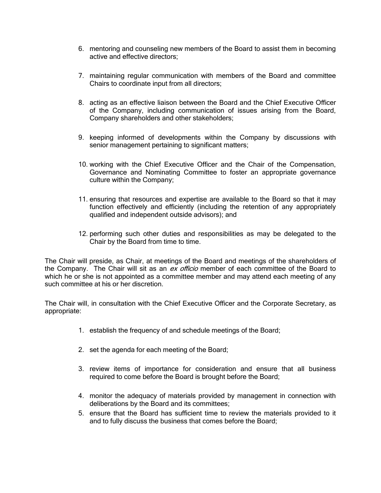- 6. mentoring and counseling new members of the Board to assist them in becoming active and effective directors;
- 7. maintaining regular communication with members of the Board and committee Chairs to coordinate input from all directors;
- 8. acting as an effective liaison between the Board and the Chief Executive Officer of the Company, including communication of issues arising from the Board, Company shareholders and other stakeholders;
- 9. keeping informed of developments within the Company by discussions with senior management pertaining to significant matters;
- 10. working with the Chief Executive Officer and the Chair of the Compensation, Governance and Nominating Committee to foster an appropriate governance culture within the Company;
- 11. ensuring that resources and expertise are available to the Board so that it may function effectively and efficiently (including the retention of any appropriately qualified and independent outside advisors); and
- 12. performing such other duties and responsibilities as may be delegated to the Chair by the Board from time to time.

The Chair will preside, as Chair, at meetings of the Board and meetings of the shareholders of the Company. The Chair will sit as an ex officio member of each committee of the Board to which he or she is not appointed as a committee member and may attend each meeting of any such committee at his or her discretion.

The Chair will, in consultation with the Chief Executive Officer and the Corporate Secretary, as appropriate:

- 1. establish the frequency of and schedule meetings of the Board;
- 2. set the agenda for each meeting of the Board;
- 3. review items of importance for consideration and ensure that all business required to come before the Board is brought before the Board;
- 4. monitor the adequacy of materials provided by management in connection with deliberations by the Board and its committees;
- 5. ensure that the Board has sufficient time to review the materials provided to it and to fully discuss the business that comes before the Board;